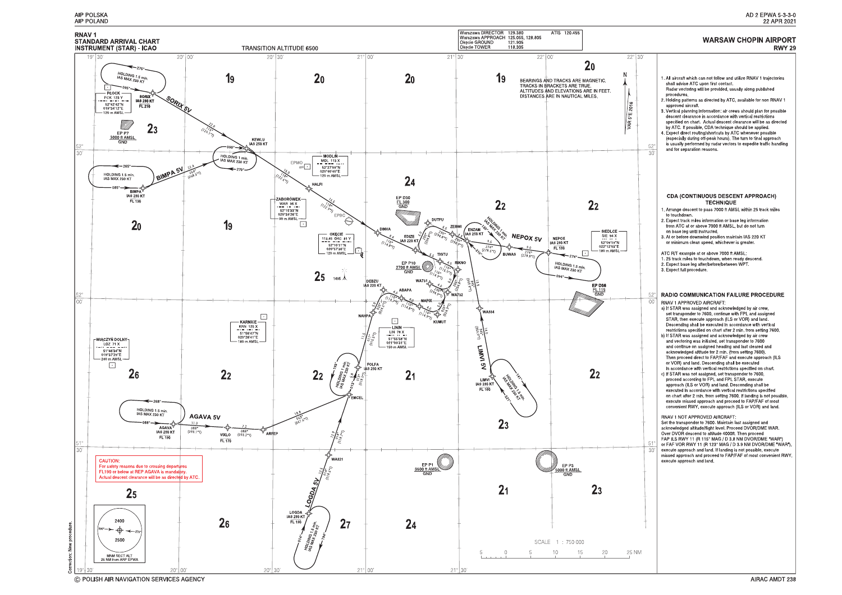

C POLISH AIR NAVIGATION SERVICES AGENCY

#### **WARSAW CHOPIN AIRPORT RWY 29**

1. All aircraft which can not follow and utilize RNAV 1 trajectories shall advise ATC upon first contact. Radar vectoring will be provided, usually along published procedures. 2. Holding patterns as directed by ATC, available for non RNAV 1 approved aircraft 3. Vertical planning information: air crews should plan for possible descent clearance in accordance with vertical restrictions<br>specified on chart. Actual descent clearance will be as directed by ATC. If possible, CDA technique should be applied. 4. Expect direct routing/shortcuts by ATC whenever possible (especially during off-peak hours). The turn to final approach is usually performed by radar vectors to expedite traffic handling  $50$ and for separation reasons. -30 **CDA (CONTINUOUS DESCENT APPROACH) TECHNIQUE** 1. Arrange descent to pass 7000 ft AMSL within 25 track miles to touchdown 2. Expect track miles information or base leg information from ATC at or above 7000 ft AMSL, but do not turn on base leg until instructed. 3. At or before downwind position maintain IAS 220 KT or minimum clean speed, whichever is greater. ATC R/T example at or above 7000 ft AMSL: 1. 25 track miles to touchdown, when ready descend. 2. Expect base leg after/before/between WPT. 3. Expect full procedure. **RADIO COMMUNICATION FAILURE PROCEDURE** 52 RNAV 1 APPROVED AIRCRAFT:  $\bigcap$ a) If STAR was assigned and acknowledged by air crew,<br>set transponder to 7600, continue with FPL and assigned STAR, then execute approach (ILS or VOR) and land Descending shall be executed in accordance with vertical restrictions specified on chart after 2 min. from setting 7600.<br>b) If STAR was assigned and acknowledged by air crew and vectoring was initiated, set transponder to 7600 and continue on assigned heading and last cleared and acknowledged altitude for 2 min. (from setting 7600).<br>Then proceed direct to FAP/FAF and execute approach (ILS or VOR) and land. Descending shall be executed in accordance with vertical restrictions specified on chart. c) If STAR was not assigned, set transponder to 7600,<br>proceed according to FPL and FPL STAR, execute approach (ILS or VOR) and land. Descending shall be executed in accordance with vertical restrictions specified on chart after 2 min. from setting 7600. If landing is not possible, execute missed approach and proceed to FAP/FAF of most convenient RWY, execute approach (ILS or VOR) and land. **RNAV 1 NOT APPROVED AIRCRAFT:** Set the transponder to 7600. Maintain last assigned and acknowledged altitude/flight level. Proceed DVOR/DME WAR. Over DVOR descend to altitude 4000ft. Then proceed<br>FAP ILS RWY 11 (R 115° MAG / D 3.8 NM DVOR/DME "WAR") or FAF VOR RWY 11 (R 123° MAG / D 3.9 NM DVOR/DME "WAR"), execute approach and land. If landing is not possible, execute missed approach and proceed to FAP/FAF of most convenient RWY, execute approach and land.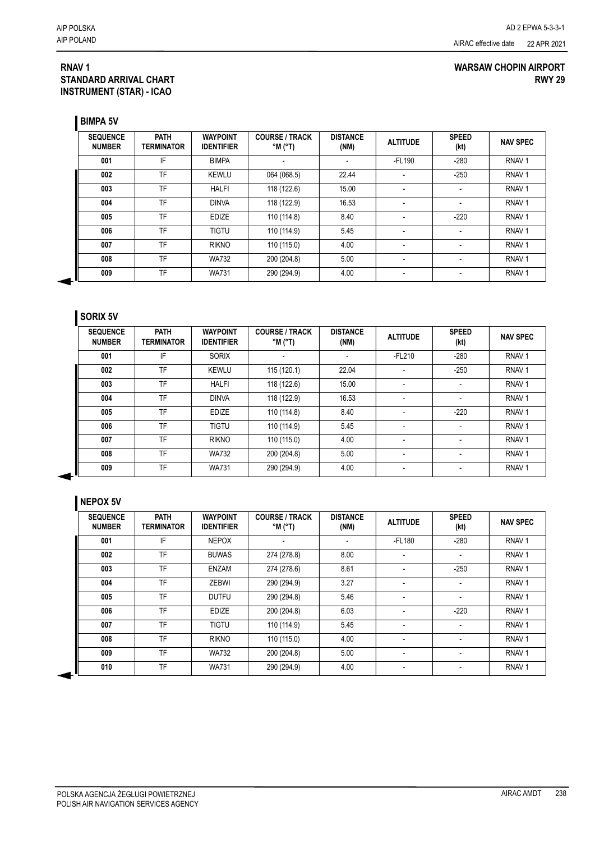### **RNAV 1 STANDARD ARRIVAL CHART INSTRUMENT (STAR) - ICAO**

### **WARSAW CHOPIN AIRPORT RWY 29**

**BIMPA 5V**

| <b>SEQUENCE</b><br><b>NUMBER</b> | <b>PATH</b><br><b>TERMINATOR</b> | <b>WAYPOINT</b><br><b>IDENTIFIER</b> | <b>COURSE / TRACK</b><br>$^{\circ}$ M ( $^{\circ}$ T) | <b>DISTANCE</b><br>(NM) | <b>ALTITUDE</b>          | <b>SPEED</b><br>(kt) | <b>NAV SPEC</b>   |
|----------------------------------|----------------------------------|--------------------------------------|-------------------------------------------------------|-------------------------|--------------------------|----------------------|-------------------|
| 001                              | IF                               | <b>BIMPA</b>                         |                                                       |                         | -FL190                   | $-280$               | RNAV <sub>1</sub> |
| 002                              | TF                               | <b>KEWLU</b>                         | 064 (068.5)                                           | 22.44                   | $\blacksquare$           | $-250$               | RNAV <sub>1</sub> |
| 003                              | TF                               | <b>HALFI</b>                         | 118 (122.6)                                           | 15.00                   | $\overline{\phantom{a}}$ |                      | RNAV <sub>1</sub> |
| 004                              | TF                               | <b>DINVA</b>                         | 118 (122.9)                                           | 16.53                   |                          |                      | RNAV <sub>1</sub> |
| 005                              | TF                               | <b>EDIZE</b>                         | 110 (114.8)                                           | 8.40                    |                          | $-220$               | RNAV <sub>1</sub> |
| 006                              | TF                               | <b>TIGTU</b>                         | 110 (114.9)                                           | 5.45                    |                          |                      | RNAV <sub>1</sub> |
| 007                              | TF                               | <b>RIKNO</b>                         | 110 (115.0)                                           | 4.00                    | ٠                        |                      | RNAV <sub>1</sub> |
| 008                              | <b>TF</b>                        | <b>WA732</b>                         | 200 (204.8)                                           | 5.00                    | ٠                        | ٠                    | RNAV <sub>1</sub> |
| 009                              | TF                               | <b>WA731</b>                         | 290 (294.9)                                           | 4.00                    | $\overline{\phantom{a}}$ | ٠                    | RNAV <sub>1</sub> |

## **SORIX 5V**

| <b>SEQUENCE</b><br><b>NUMBER</b> | <b>PATH</b><br><b>TERMINATOR</b> | <b>WAYPOINT</b><br><b>IDENTIFIER</b> | <b>COURSE / TRACK</b><br>$^{\circ}$ M $^{\circ}$ T) | <b>DISTANCE</b><br>(NM) | <b>ALTITUDE</b>          | <b>SPEED</b><br>(kt) | <b>NAV SPEC</b>   |
|----------------------------------|----------------------------------|--------------------------------------|-----------------------------------------------------|-------------------------|--------------------------|----------------------|-------------------|
| 001                              | IF                               | <b>SORIX</b>                         |                                                     |                         | $-FL210$                 | $-280$               | RNAV <sub>1</sub> |
| 002                              | TF                               | <b>KEWLU</b>                         | 115 (120.1)                                         | 22.04                   | ٠                        | $-250$               | RNAV <sub>1</sub> |
| 003                              | TF                               | <b>HALFI</b>                         | 118 (122.6)                                         | 15.00                   |                          |                      | RNAV <sub>1</sub> |
| 004                              | TF                               | <b>DINVA</b>                         | 118 (122.9)                                         | 16.53                   | ٠                        |                      | RNAV <sub>1</sub> |
| 005                              | TF                               | <b>EDIZE</b>                         | 110 (114.8)                                         | 8.40                    | ٠                        | $-220$               | RNAV <sub>1</sub> |
| 006                              | TF                               | <b>TIGTU</b>                         | 110 (114.9)                                         | 5.45                    | $\overline{\phantom{a}}$ | ٠                    | RNAV <sub>1</sub> |
| 007                              | TF                               | <b>RIKNO</b>                         | 110 (115.0)                                         | 4.00                    | ٠                        |                      | RNAV <sub>1</sub> |
| 008                              | TF                               | <b>WA732</b>                         | 200 (204.8)                                         | 5.00                    | $\blacksquare$           |                      | RNAV <sub>1</sub> |
| 009                              | TF                               | <b>WA731</b>                         | 290 (294.9)                                         | 4.00                    | ٠                        |                      | RNAV <sub>1</sub> |

### **NEPOX 5V**

| <b>SEQUENCE</b><br><b>NUMBER</b> | <b>PATH</b><br><b>TERMINATOR</b> | <b>WAYPOINT</b><br><b>IDENTIFIER</b> | <b>COURSE / TRACK</b><br>$^{\circ}$ M ( $^{\circ}$ T) | <b>DISTANCE</b><br>(NM) | <b>ALTITUDE</b>              | <b>SPEED</b><br>(kt)     | <b>NAV SPEC</b>   |
|----------------------------------|----------------------------------|--------------------------------------|-------------------------------------------------------|-------------------------|------------------------------|--------------------------|-------------------|
| 001                              | IF                               | <b>NEPOX</b>                         | $\overline{\phantom{0}}$                              | $\blacksquare$          | $-FL180$                     | $-280$                   | RNAV <sub>1</sub> |
| 002                              | TF                               | <b>BUWAS</b>                         | 274 (278.8)                                           | 8.00                    |                              |                          | RNAV <sub>1</sub> |
| 003                              | TF                               | <b>ENZAM</b>                         | 274 (278.6)                                           | 8.61                    | ٠                            | $-250$                   | RNAV <sub>1</sub> |
| 004                              | TF                               | <b>ZEBWI</b>                         | 290 (294.9)                                           | 3.27                    | ۰                            | ۰                        | RNAV <sub>1</sub> |
| 005                              | TF                               | <b>DUTFU</b>                         | 290 (294.8)                                           | 5.46                    | ۰                            | ٠                        | RNAV <sub>1</sub> |
| 006                              | TF                               | <b>EDIZE</b>                         | 200 (204.8)                                           | 6.03                    | ٠                            | $-220$                   | RNAV <sub>1</sub> |
| 007                              | TF                               | <b>TIGTU</b>                         | 110 (114.9)                                           | 5.45                    | ٠                            | $\overline{\phantom{0}}$ | RNAV <sub>1</sub> |
| 008                              | TF                               | <b>RIKNO</b>                         | 110 (115.0)                                           | 4.00                    | ۰                            | ٠                        | RNAV <sub>1</sub> |
| 009                              | TF                               | <b>WA732</b>                         | 200 (204.8)                                           | 5.00                    | ۰                            | $\overline{\phantom{0}}$ | RNAV <sub>1</sub> |
| 010                              | TF                               | <b>WA731</b>                         | 290 (294.9)                                           | 4.00                    | $\qquad \qquad \blacksquare$ | $\overline{\phantom{0}}$ | RNAV <sub>1</sub> |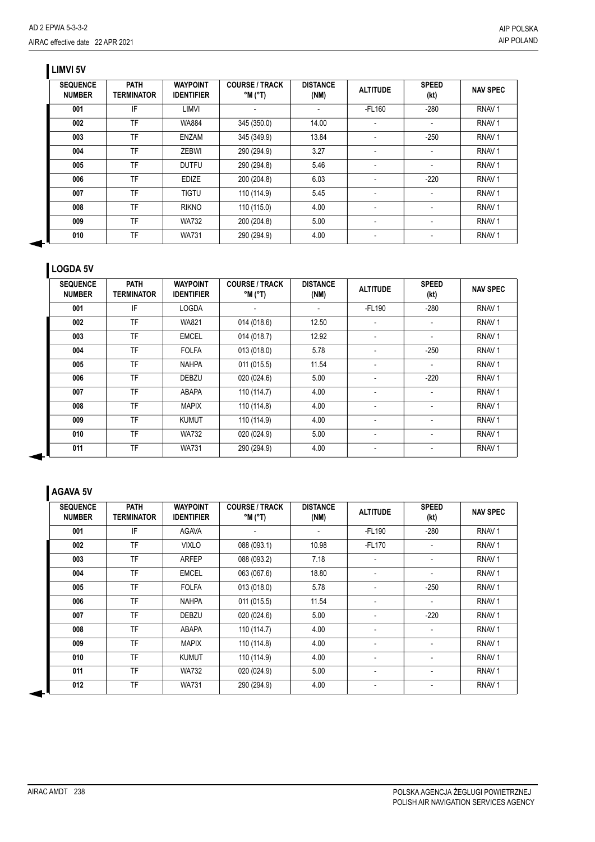## **LIMVI 5V**

| <b>SEQUENCE</b><br><b>NUMBER</b> | <b>PATH</b><br><b>TERMINATOR</b> | <b>WAYPOINT</b><br><b>IDENTIFIER</b> | <b>COURSE / TRACK</b><br>$^{\circ}$ M ( $^{\circ}$ T) | <b>DISTANCE</b><br>(NM) | <b>ALTITUDE</b>          | <b>SPEED</b><br>(kt) | <b>NAV SPEC</b>   |
|----------------------------------|----------------------------------|--------------------------------------|-------------------------------------------------------|-------------------------|--------------------------|----------------------|-------------------|
| 001                              | IF                               | LIMVI                                |                                                       |                         | $-FL160$                 | $-280$               | RNAV <sub>1</sub> |
| 002                              | TF                               | <b>WA884</b>                         | 345 (350.0)                                           | 14.00                   |                          |                      | RNAV <sub>1</sub> |
| 003                              | TF                               | ENZAM                                | 345 (349.9)                                           | 13.84                   |                          | $-250$               | RNAV <sub>1</sub> |
| 004                              | TF                               | <b>ZEBWI</b>                         | 290 (294.9)                                           | 3.27                    |                          |                      | RNAV <sub>1</sub> |
| 005                              | TF                               | <b>DUTFU</b>                         | 290 (294.8)                                           | 5.46                    | $\overline{\phantom{a}}$ | $\blacksquare$       | RNAV <sub>1</sub> |
| 006                              | TF                               | <b>EDIZE</b>                         | 200 (204.8)                                           | 6.03                    |                          | $-220$               | RNAV <sub>1</sub> |
| 007                              | TF                               | <b>TIGTU</b>                         | 110 (114.9)                                           | 5.45                    |                          |                      | RNAV <sub>1</sub> |
| 008                              | TF                               | <b>RIKNO</b>                         | 110 (115.0)                                           | 4.00                    |                          |                      | RNAV <sub>1</sub> |
| 009                              | TF                               | <b>WA732</b>                         | 200 (204.8)                                           | 5.00                    |                          |                      | RNAV <sub>1</sub> |
| 010                              | TF                               | <b>WA731</b>                         | 290 (294.9)                                           | 4.00                    |                          |                      | RNAV <sub>1</sub> |

## **LOGDA 5V**

| <b>SEQUENCE</b><br><b>NUMBER</b> | <b>PATH</b><br>TERMINATOR | <b>WAYPOINT</b><br><b>IDENTIFIER</b> | <b>COURSE / TRACK</b><br>$^{\circ}$ M $^{\circ}$ T) | <b>DISTANCE</b><br>(NM)  | <b>ALTITUDE</b>          | <b>SPEED</b><br>(kt)     | <b>NAV SPEC</b>   |
|----------------------------------|---------------------------|--------------------------------------|-----------------------------------------------------|--------------------------|--------------------------|--------------------------|-------------------|
| 001                              | IF                        | <b>LOGDA</b>                         | $\overline{\phantom{0}}$                            | $\overline{\phantom{a}}$ | -FL190                   | $-280$                   | RNAV <sub>1</sub> |
| 002                              | TF                        | <b>WA821</b>                         | 014 (018.6)                                         | 12.50                    | $\blacksquare$           | ۰                        | RNAV <sub>1</sub> |
| 003                              | <b>TF</b>                 | <b>EMCEL</b>                         | 014 (018.7)                                         | 12.92                    | $\overline{\phantom{a}}$ |                          | RNAV <sub>1</sub> |
| 004                              | <b>TF</b>                 | <b>FOLFA</b>                         | 013 (018.0)                                         | 5.78                     | $\blacksquare$           | $-250$                   | RNAV <sub>1</sub> |
| 005                              | TF                        | <b>NAHPA</b>                         | 011 (015.5)                                         | 11.54                    | $\blacksquare$           | $\overline{\phantom{a}}$ | RNAV <sub>1</sub> |
| 006                              | TF                        | <b>DEBZU</b>                         | 020 (024.6)                                         | 5.00                     | $\overline{\phantom{a}}$ | $-220$                   | RNAV <sub>1</sub> |
| 007                              | <b>TF</b>                 | ABAPA                                | 110 (114.7)                                         | 4.00                     | $\overline{\phantom{a}}$ |                          | RNAV <sub>1</sub> |
| 008                              | <b>TF</b>                 | <b>MAPIX</b>                         | 110 (114.8)                                         | 4.00                     | $\overline{\phantom{a}}$ | $\overline{a}$           | RNAV <sub>1</sub> |
| 009                              | TF                        | <b>KUMUT</b>                         | 110 (114.9)                                         | 4.00                     | $\overline{\phantom{a}}$ | $\overline{\phantom{a}}$ | RNAV <sub>1</sub> |
| 010                              | TF                        | <b>WA732</b>                         | 020 (024.9)                                         | 5.00                     | $\blacksquare$           |                          | RNAV <sub>1</sub> |
| 011                              | <b>TF</b>                 | <b>WA731</b>                         | 290 (294.9)                                         | 4.00                     | $\overline{\phantom{a}}$ |                          | RNAV <sub>1</sub> |

# **AGAVA 5V**

| <b>SEQUENCE</b><br><b>NUMBER</b> | <b>PATH</b><br><b>TERMINATOR</b> | <b>WAYPOINT</b><br><b>IDENTIFIER</b> | <b>COURSE / TRACK</b><br>$^{\circ}$ M $^{\circ}$ T) | <b>DISTANCE</b><br>(NM)  | <b>ALTITUDE</b>          | <b>SPEED</b><br>(kt)     | <b>NAV SPEC</b>   |
|----------------------------------|----------------------------------|--------------------------------------|-----------------------------------------------------|--------------------------|--------------------------|--------------------------|-------------------|
| 001                              | IF                               | AGAVA                                | $\overline{\phantom{a}}$                            | $\overline{\phantom{a}}$ | -FL190                   | $-280$                   | RNAV <sub>1</sub> |
| 002                              | <b>TF</b>                        | <b>VIXLO</b>                         | 088 (093.1)                                         | 10.98                    | -FL170                   |                          | RNAV <sub>1</sub> |
| 003                              | <b>TF</b>                        | <b>ARFEP</b>                         | 088 (093.2)                                         | 7.18                     | $\overline{\phantom{0}}$ |                          | RNAV <sub>1</sub> |
| 004                              | <b>TF</b>                        | <b>EMCEL</b>                         | 063 (067.6)                                         | 18.80                    |                          |                          | RNAV <sub>1</sub> |
| 005                              | <b>TF</b>                        | <b>FOLFA</b>                         | 013 (018.0)                                         | 5.78                     |                          | $-250$                   | RNAV <sub>1</sub> |
| 006                              | TF                               | <b>NAHPA</b>                         | 011 (015.5)                                         | 11.54                    | $\overline{\phantom{a}}$ | $\blacksquare$           | RNAV <sub>1</sub> |
| 007                              | TF                               | <b>DEBZU</b>                         | 020 (024.6)                                         | 5.00                     |                          | $-220$                   | RNAV <sub>1</sub> |
| 008                              | <b>TF</b>                        | <b>ABAPA</b>                         | 110 (114.7)                                         | 4.00                     | $\overline{\phantom{a}}$ |                          | RNAV <sub>1</sub> |
| 009                              | <b>TF</b>                        | <b>MAPIX</b>                         | 110 (114.8)                                         | 4.00                     | $\overline{\phantom{a}}$ |                          | RNAV <sub>1</sub> |
| 010                              | <b>TF</b>                        | <b>KUMUT</b>                         | 110 (114.9)                                         | 4.00                     | $\overline{\phantom{0}}$ |                          | RNAV <sub>1</sub> |
| 011                              | TF                               | <b>WA732</b>                         | 020 (024.9)                                         | 5.00                     | $\overline{\phantom{a}}$ | $\overline{\phantom{a}}$ | RNAV <sub>1</sub> |
| 012                              | TF                               | <b>WA731</b>                         | 290 (294.9)                                         | 4.00                     |                          |                          | RNAV <sub>1</sub> |